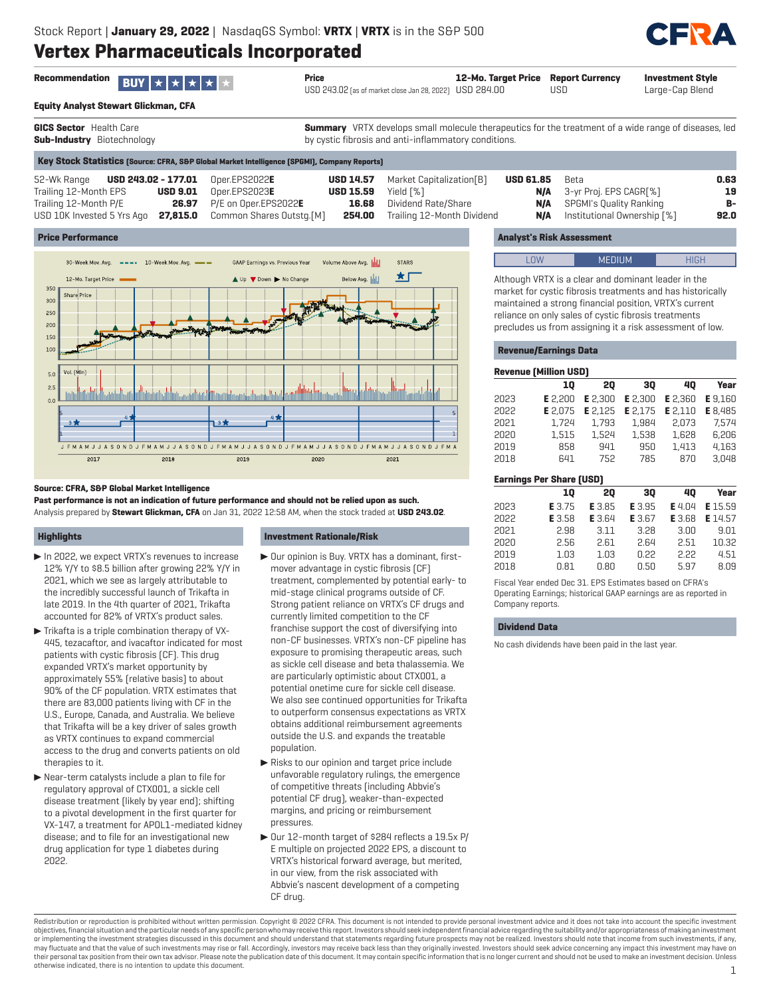

**Investment Style** Large-Cap Blend

| Recommendation <b>BUY</b> $\star$ $\star$ $\star$ $\star$ $\star$ |  |  |  | Price |
|-------------------------------------------------------------------|--|--|--|-------|
|                                                                   |  |  |  |       |
|                                                                   |  |  |  |       |

**Equity Analyst Stewart Glickman, CFA**

**GICS Sector** Health Care **Sub-Industry** Biotechnology

**Summary** VRTX develops small molecule therapeutics for the treatment of a wide range of diseases, led by cystic fibrosis and anti-inflammatory conditions.

**12-Mo. Target Price** USD 284.00

|                                                      | Key Stock Statistics (Source: CFRA, S&P Global Market Intelligence (SPGMI), Company Reports) |                            |                                            |                  |                                                      |      |
|------------------------------------------------------|----------------------------------------------------------------------------------------------|----------------------------|--------------------------------------------|------------------|------------------------------------------------------|------|
| 52-Wk Range <b>USD 243.02 - 177.01</b> Oper.EPS2022E |                                                                                              |                            | <b>USD 14.57</b> Market Capitalization [B] | <b>USD 61.85</b> | Beta                                                 | 0.63 |
| Trailing 12-Month EPS                                | $\textsf{USD}\ 9.01$ Oper.EPS2023E                                                           | <b>USD 15.59</b> Yield [%] |                                            |                  | <b>N/A</b> 3-yr Proj. EPS CAGR[%]                    | 19   |
| Trailing 12-Month P/E                                | <b>26.97</b> P/E on Oper.EPS2022E                                                            |                            | <b>16.68</b> Dividend Rate/Share           |                  | <b>N/A</b> SPGMI's Quality Ranking                   | B-   |
| USD 10K Invested 5 Yrs Ago                           | <b>27,815.0</b> Common Shares Outstg.[M]                                                     |                            | <b>254.00</b> Trailing 12-Month Dividend   |                  | <b>N/A</b> Institutional Ownership $\lceil % \rceil$ | 92.0 |

USD 243.02 (as of market close Jan 28, 2022)

### **Price Performance**



#### **Source: CFRA, S&P Global Market Intelligence**

**Past performance is not an indication of future performance and should not be relied upon as such.** Analysis prepared by **Stewart Glickman, CFA** on Jan 31, 2022 12:58 AM, when the stock traded at **USD 243.02**.

#### **Highlights**

- $\blacktriangleright$  In 2022, we expect VRTX's revenues to increase 12% Y/Y to \$8.5 billion after growing 22% Y/Y in 2021, which we see as largely attributable to the incredibly successful launch of Trikafta in late 2019. In the 4th quarter of 2021, Trikafta accounted for 82% of VRTX's product sales.
- $\blacktriangleright$  Trikafta is a triple combination therapy of VX-445, tezacaftor, and ivacaftor indicated for most patients with cystic fibrosis (CF). This drug expanded VRTX's market opportunity by approximately 55% (relative basis) to about 90% of the CF population. VRTX estimates that there are 83,000 patients living with CF in the U.S., Europe, Canada, and Australia. We believe that Trikafta will be a key driver of sales growth as VRTX continues to expand commercial access to the drug and converts patients on old therapies to it.
- $\blacktriangleright$  Near-term catalysts include a plan to file for regulatory approval of CTX001, a sickle cell disease treatment (likely by year end); shifting to a pivotal development in the first quarter for VX-147, a treatment for APOL1-mediated kidney disease; and to file for an investigational new drug application for type 1 diabetes during 2022.

#### **Investment Rationale/Risk**

- $\triangleright$  Our opinion is Buy. VRTX has a dominant, firstmover advantage in cystic fibrosis (CF) treatment, complemented by potential early- to mid-stage clinical programs outside of CF. Strong patient reliance on VRTX's CF drugs and currently limited competition to the CF franchise support the cost of diversifying into non-CF businesses. VRTX's non-CF pipeline has exposure to promising therapeutic areas, such as sickle cell disease and beta thalassemia. We are particularly optimistic about CTX001, a potential onetime cure for sickle cell disease. We also see continued opportunities for Trikafta to outperform consensus expectations as VRTX obtains additional reimbursement agreements outside the U.S. and expands the treatable population.
- $\blacktriangleright$  Risks to our opinion and target price include unfavorable regulatory rulings, the emergence of competitive threats (including Abbvie's potential CF drug), weaker-than-expected margins, and pricing or reimbursement pressures.
- ▶ Our 12-month target of \$284 reflects a 19.5x P/ E multiple on projected 2022 EPS, a discount to VRTX's historical forward average, but merited, in our view, from the risk associated with Abbvie's nascent development of a competing CF drug.

## **Analyst's Risk Assessment**

**Report Currency**

USD

| I NW                                                | <b>MEDIUM</b> | HIGH |
|-----------------------------------------------------|---------------|------|
| Although VRTX is a clear and dominant leader in the |               |      |

market for cystic fibrosis treatments and has historically maintained a strong financial position, VRTX's current reliance on only sales of cystic fibrosis treatments precludes us from assigning it a risk assessment of low.

#### **Revenue/Earnings Data**

|      | <b>Revenue (Million USD)</b>    |               |               |                |                |
|------|---------------------------------|---------------|---------------|----------------|----------------|
|      | 10                              | 20            | 30            | 40             | Year           |
| 2023 | E 2.200                         | E 2.300       | E 2,300       | <b>E</b> 2.360 | <b>E</b> 9.160 |
| 2022 | E 2.075                         | E 2.125       | E 2.175       | E 2.110        | E 8.485        |
| 2021 | 1,724                           | 1.793         | 1.984         | 2.073          | 7.574          |
| 2020 | 1.515                           | 1.524         | 1.538         | 1.628          | 6.206          |
| 2019 | 858                             | 941           | 950           | 1.413          | 4.163          |
| 2018 | 641                             | 752           | 785           | 870            | 3.048          |
|      |                                 |               |               |                |                |
|      | <b>Earnings Per Share (USD)</b> |               |               |                |                |
|      | 10                              | 20            | 30            | 40             | Year           |
| 2023 | E 3.75                          | E 3.85        | E 3.95        | <b>E</b> 4.04  | E 15.59        |
| 2022 | E 3.58                          | <b>E</b> 3.64 | <b>E</b> 3.67 | <b>E</b> 3.68  | E 14.57        |
| 2021 | 2.98                            | 3.11          | 3.28          | 3.00           | 9.01           |
| 2020 | 2.56                            | 2.61          | 2.64          | 2.51           | 10.32          |
| 2019 | 1.03                            | 1.03          | 0.22          | 2.22           | 4.51           |

Fiscal Year ended Dec 31. EPS Estimates based on CFRA's Operating Earnings; historical GAAP earnings are as reported in Company reports.

#### **Dividend Data**

No cash dividends have been paid in the last year.

Redistribution or reproduction is prohibited without written permission. Copyright © 2022 CFRA. This document is not intended to provide personal investment advice and it does not take into account the specific investment objectives, financial situation and the particular needs of any specific person who may receive this report. Investors should seek independent financial advice regarding the suitability and/or appropriateness of making an or implementing the investment strategies discussed in this document and should understand that statements regarding future prospects may not be realized. Investors should note that income from such investments, if any, may fluctuate and that the value of such investments may rise or fall. Accordingly, investors may receive back less than they originally invested. Investors should seek advice concerning any impact this investment may have their personal tax position from their own tax advisor. Please note the publication date of this document. It may contain specific information that is no longer current and should not be used to make an investment decision otherwise indicated, there is no intention to update this document. 1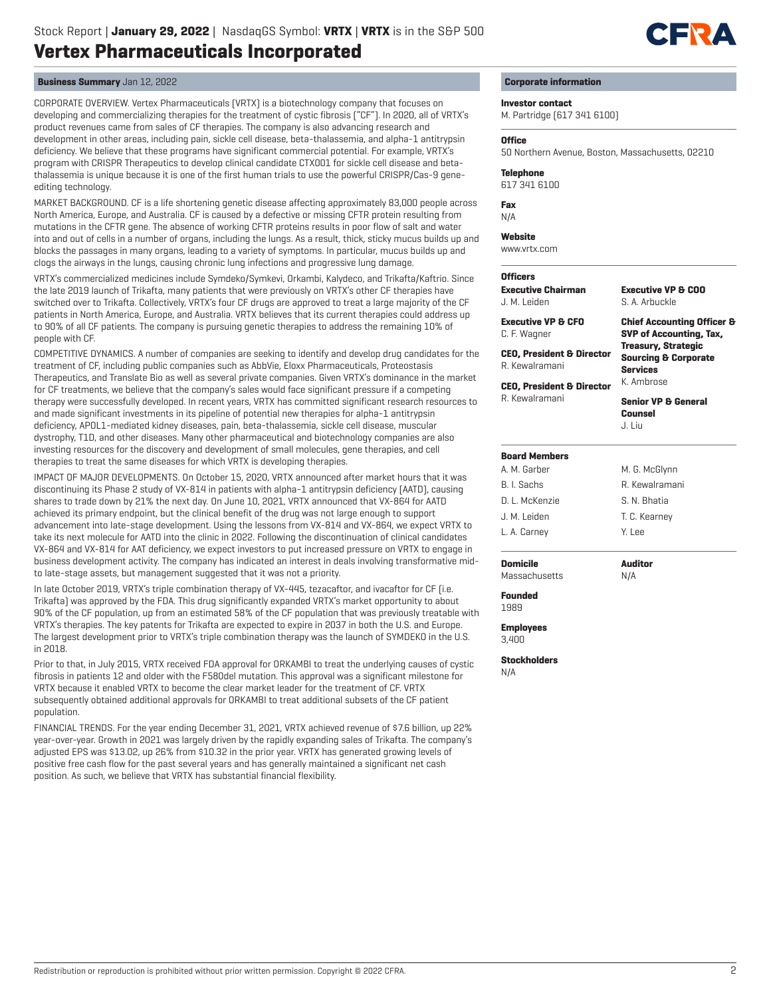

## **Business Summary** Jan 12, 2022

CORPORATE OVERVIEW. Vertex Pharmaceuticals (VRTX) is a biotechnology company that focuses on developing and commercializing therapies for the treatment of cystic fibrosis ("CF"). In 2020, all of VRTX's product revenues came from sales of CF therapies. The company is also advancing research and development in other areas, including pain, sickle cell disease, beta-thalassemia, and alpha-1 antitrypsin deficiency. We believe that these programs have significant commercial potential. For example, VRTX's program with CRISPR Therapeutics to develop clinical candidate CTX001 for sickle cell disease and betathalassemia is unique because it is one of the first human trials to use the powerful CRISPR/Cas-9 geneediting technology.

MARKET BACKGROUND. CF is a life shortening genetic disease affecting approximately 83,000 people across North America, Europe, and Australia. CF is caused by a defective or missing CFTR protein resulting from mutations in the CFTR gene. The absence of working CFTR proteins results in poor flow of salt and water into and out of cells in a number of organs, including the lungs. As a result, thick, sticky mucus builds up and blocks the passages in many organs, leading to a variety of symptoms. In particular, mucus builds up and clogs the airways in the lungs, causing chronic lung infections and progressive lung damage.

VRTX's commercialized medicines include Symdeko/Symkevi, Orkambi, Kalydeco, and Trikafta/Kaftrio. Since the late 2019 launch of Trikafta, many patients that were previously on VRTX's other CF therapies have switched over to Trikafta. Collectively, VRTX's four CF drugs are approved to treat a large majority of the CF patients in North America, Europe, and Australia. VRTX believes that its current therapies could address up to 90% of all CF patients. The company is pursuing genetic therapies to address the remaining 10% of people with CF.

COMPETITIVE DYNAMICS. A number of companies are seeking to identify and develop drug candidates for the treatment of CF, including public companies such as AbbVie, Eloxx Pharmaceuticals, Proteostasis Therapeutics, and Translate Bio as well as several private companies. Given VRTX's dominance in the market for CF treatments, we believe that the company's sales would face significant pressure if a competing therapy were successfully developed. In recent years, VRTX has committed significant research resources to and made significant investments in its pipeline of potential new therapies for alpha-1 antitrypsin deficiency, APOL1-mediated kidney diseases, pain, beta-thalassemia, sickle cell disease, muscular dystrophy, T1D, and other diseases. Many other pharmaceutical and biotechnology companies are also investing resources for the discovery and development of small molecules, gene therapies, and cell therapies to treat the same diseases for which VRTX is developing therapies.

IMPACT OF MAJOR DEVELOPMENTS. On October 15, 2020, VRTX announced after market hours that it was discontinuing its Phase 2 study of VX-814 in patients with alpha-1 antitrypsin deficiency (AATD), causing shares to trade down by 21% the next day. On June 10, 2021, VRTX announced that VX-864 for AATD achieved its primary endpoint, but the clinical benefit of the drug was not large enough to support advancement into late-stage development. Using the lessons from VX-814 and VX-864, we expect VRTX to take its next molecule for AATD into the clinic in 2022. Following the discontinuation of clinical candidates VX-864 and VX-814 for AAT deficiency, we expect investors to put increased pressure on VRTX to engage in business development activity. The company has indicated an interest in deals involving transformative midto late-stage assets, but management suggested that it was not a priority.

In late October 2019, VRTX's triple combination therapy of VX-445, tezacaftor, and ivacaftor for CF (i.e. Trikafta) was approved by the FDA. This drug significantly expanded VRTX's market opportunity to about 90% of the CF population, up from an estimated 58% of the CF population that was previously treatable with VRTX's therapies. The key patents for Trikafta are expected to expire in 2037 in both the U.S. and Europe. The largest development prior to VRTX's triple combination therapy was the launch of SYMDEKO in the U.S. in 2018.

Prior to that, in July 2015, VRTX received FDA approval for ORKAMBI to treat the underlying causes of cystic fibrosis in patients 12 and older with the F580del mutation. This approval was a significant milestone for VRTX because it enabled VRTX to become the clear market leader for the treatment of CF. VRTX subsequently obtained additional approvals for ORKAMBI to treat additional subsets of the CF patient population.

FINANCIAL TRENDS. For the year ending December 31, 2021, VRTX achieved revenue of \$7.6 billion, up 22% year-over-year. Growth in 2021 was largely driven by the rapidly expanding sales of Trikafta. The company's adjusted EPS was \$13.02, up 26% from \$10.32 in the prior year. VRTX has generated growing levels of positive free cash flow for the past several years and has generally maintained a significant net cash position. As such, we believe that VRTX has substantial financial flexibility.

#### **Corporate information**

**Investor contact**

M. Partridge (617 341 6100)

#### **Office**

50 Northern Avenue, Boston, Massachusetts, 02210

**Telephone**

617 341 6100

**Fax**

N/A

#### **Website**

www.vrtx.com

## **Officers**

**Executive Chairman** J. M. Leiden **Executive VP & CFO** C. F. Wagner **CEO, President & Director** R. Kewalramani **CEO, President & Director** R. Kewalramani **Executive VP & COO** S. A. Arbuckle **Chief Accounting Officer & SVP of Accounting, Tax, Treasury, Strategic Sourcing & Corporate Services** K. Ambrose **Senior VP & General Counsel** J. Liu **Board Members** A. M. Garber B. I. Sachs D. L. McKenzie J. M. Leiden L. A. Carney M. G. McGlynn R. Kewalramani S. N. Bhatia T. C. Kearney Y. Lee

**Domicile** Massachusetts

N/A

**Auditor**

**Founded**

1989

**Employees** 3,400

**Stockholders** N/A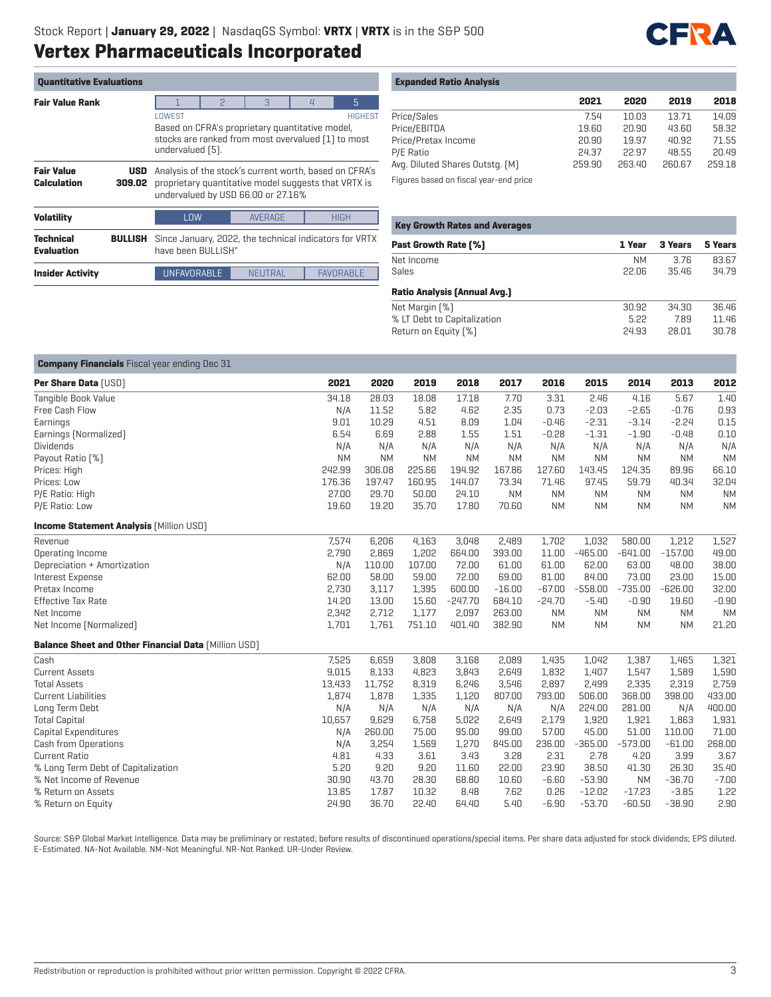

| <b>Quantitative Evaluations</b>       |                      |                                                                                                                                     |                                                                                                                                                      |                |  |                  |  |  |  |  |
|---------------------------------------|----------------------|-------------------------------------------------------------------------------------------------------------------------------------|------------------------------------------------------------------------------------------------------------------------------------------------------|----------------|--|------------------|--|--|--|--|
| <b>Fair Value Rank</b>                |                      |                                                                                                                                     | $\mathcal{B}$<br>P<br>$\overline{4}$                                                                                                                 |                |  |                  |  |  |  |  |
|                                       |                      | LOWEST<br>Based on CFRA's proprietary quantitative model,<br>stocks are ranked from most overvalued [1] to most<br>undervalued [5]. |                                                                                                                                                      |                |  | <b>HIGHEST</b>   |  |  |  |  |
| <b>Fair Value</b><br>Calculation      | <b>USD</b><br>309.02 |                                                                                                                                     | Analysis of the stock's current worth, based on CFRA's<br>proprietary quantitative model suggests that VRTX is<br>undervalued by USD 66.00 or 27.16% |                |  |                  |  |  |  |  |
| <b>Volatility</b>                     |                      | LOW                                                                                                                                 |                                                                                                                                                      | <b>AVERAGE</b> |  | <b>HIGH</b>      |  |  |  |  |
| <b>Technical</b><br><b>Evaluation</b> | <b>BULLISH</b>       |                                                                                                                                     | Since January, 2022, the technical indicators for VRTX<br>have been BULLISH"                                                                         |                |  |                  |  |  |  |  |
| <b>Insider Activity</b>               |                      | <b>UNFAVORABLE</b>                                                                                                                  |                                                                                                                                                      | <b>NEUTRAL</b> |  | <b>FAVORABLE</b> |  |  |  |  |

| <b>Expanded Ratio Analysis</b> |  |  |  |
|--------------------------------|--|--|--|
|--------------------------------|--|--|--|

|                                 | 2021   | 2020   | 2019   | 2018   |
|---------------------------------|--------|--------|--------|--------|
| Price/Sales                     | 7.54   | 10.03  | 13.71  | 14.09  |
| Price/EBITDA                    | 19.60  | 20.90  | 43.60  | 58.32  |
| Price/Pretax Income             | 20.90  | 19.97  | 40.92  | 71.55  |
| P/E Ratio                       | 24.37  | 22.97  | 48.55  | 20.49  |
| Avg. Diluted Shares Outstg. (M) | 259.90 | 263.40 | 260.67 | 259.18 |
|                                 |        |        |        |        |

Figures based on fiscal year-end price

| <b>Key Growth Rates and Averages</b> |           |         |         |  |  |  |  |  |
|--------------------------------------|-----------|---------|---------|--|--|--|--|--|
| <b>Past Growth Rate [%]</b>          | 1 Year    | 3 Years | 5 Years |  |  |  |  |  |
| Net Income                           | <b>NM</b> | 3.76    | 83.67   |  |  |  |  |  |
| Sales                                | 22.06     | 35.46   | 34.79   |  |  |  |  |  |
| <b>Ratio Analysis (Annual Avg.)</b>  |           |         |         |  |  |  |  |  |
| Net Margin [%]                       | 30.92     | 34.30   | 36.46   |  |  |  |  |  |
| % LT Debt to Capitalization          | 5.22      | 7.89    | 11.46   |  |  |  |  |  |
| Return on Equity [%]                 | 24.93     | 28.01   | 30.78   |  |  |  |  |  |

| <b>Company Financials</b> Fiscal year ending Dec 31         |           |           |           |           |           |           |           |           |           |           |
|-------------------------------------------------------------|-----------|-----------|-----------|-----------|-----------|-----------|-----------|-----------|-----------|-----------|
| Per Share Data [USD]                                        | 2021      | 2020      | 2019      | 2018      | 2017      | 2016      | 2015      | 2014      | 2013      | 2012      |
| Tangible Book Value                                         | 34.18     | 28.03     | 18.08     | 17.18     | 7.70      | 3.31      | 2.46      | 4.16      | 5.67      | 1.40      |
| Free Cash Flow                                              | N/A       | 11.52     | 5.82      | 4.62      | 2.35      | 0.73      | $-2.03$   | $-2.65$   | $-0.76$   | 0.93      |
| Earnings                                                    | 9.01      | 10.29     | 4.51      | 8.09      | 1.04      | $-0.46$   | $-2.31$   | $-3.14$   | $-2.24$   | 0.15      |
| Earnings [Normalized]                                       | 6.54      | 6.69      | 2.88      | 1.55      | 1.51      | $-0.28$   | $-1.31$   | $-1.90$   | $-0.48$   | 0.10      |
| <b>Dividends</b>                                            | N/A       | N/A       | N/A       | N/A       | N/A       | N/A       | N/A       | N/A       | N/A       | N/A       |
| Payout Ratio [%]                                            | <b>NM</b> | <b>NM</b> | <b>NM</b> | <b>NM</b> | <b>NM</b> | <b>NM</b> | <b>NM</b> | <b>NM</b> | <b>NM</b> | <b>NM</b> |
| Prices: High                                                | 242.99    | 306.08    | 225.66    | 194.92    | 167.86    | 127.60    | 143.45    | 124.35    | 89.96     | 66.10     |
| Prices: Low                                                 | 176.36    | 197.47    | 160.95    | 144.07    | 73.34     | 71.46     | 97.45     | 59.79     | 40.34     | 32.04     |
| P/E Ratio: High                                             | 27.00     | 29.70     | 50.00     | 24.10     | <b>NM</b> | <b>NM</b> | <b>NM</b> | <b>NM</b> | <b>NM</b> | <b>NM</b> |
| P/E Ratio: Low                                              | 19.60     | 19.20     | 35.70     | 17.80     | 70.60     | <b>NM</b> | <b>NM</b> | <b>NM</b> | <b>NM</b> | <b>NM</b> |
| <b>Income Statement Analysis [Million USD]</b>              |           |           |           |           |           |           |           |           |           |           |
| Revenue                                                     | 7.574     | 6,206     | 4,163     | 3,048     | 2,489     | 1,702     | 1,032     | 580.00    | 1,212     | 1,527     |
| Operating Income                                            | 2,790     | 2,869     | 1,202     | 664.00    | 393.00    | 11.00     | $-465.00$ | $-641.00$ | $-157.00$ | 49.00     |
| Depreciation + Amortization                                 | N/A       | 110.00    | 107.00    | 72.00     | 61.00     | 61.00     | 62.00     | 63.00     | 48.00     | 38.00     |
| Interest Expense                                            | 62.00     | 58.00     | 59.00     | 72.00     | 69.00     | 81.00     | 84.00     | 73.00     | 23.00     | 15.00     |
| Pretax Income                                               | 2,730     | 3,117     | 1,395     | 600.00    | $-16.00$  | $-67.00$  | $-558.00$ | $-735.00$ | $-626.00$ | 32.00     |
| Effective Tax Rate                                          | 14.20     | 13.00     | 15.60     | $-247.70$ | 684.10    | $-24.70$  | $-5.40$   | $-0.90$   | 19.60     | $-0.90$   |
| Net Income                                                  | 2,342     | 2,712     | 1,177     | 2,097     | 263.00    | <b>NM</b> | <b>NM</b> | <b>NM</b> | <b>NM</b> | <b>NM</b> |
| Net Income (Normalized)                                     | 1,701     | 1,761     | 751.10    | 401.40    | 382.90    | <b>NM</b> | <b>NM</b> | <b>NM</b> | <b>NM</b> | 21.20     |
| <b>Balance Sheet and Other Financial Data [Million USD]</b> |           |           |           |           |           |           |           |           |           |           |
| Cash                                                        | 7,525     | 6,659     | 3,808     | 3,168     | 2,089     | 1,435     | 1,042     | 1,387     | 1,465     | 1,321     |
| <b>Current Assets</b>                                       | 9,015     | 8,133     | 4,823     | 3,843     | 2,649     | 1,832     | 1,407     | 1,547     | 1,589     | 1,590     |
| <b>Total Assets</b>                                         | 13,433    | 11,752    | 8,319     | 6,246     | 3,546     | 2,897     | 2,499     | 2,335     | 2,319     | 2,759     |
| <b>Current Liabilities</b>                                  | 1,874     | 1,878     | 1,335     | 1,120     | 807.00    | 793.00    | 506.00    | 368.00    | 398.00    | 433.00    |
| Long Term Debt                                              | N/A       | N/A       | N/A       | N/A       | N/A       | N/A       | 224.00    | 281.00    | N/A       | 400.00    |
| <b>Total Capital</b>                                        | 10,657    | 9,629     | 6,758     | 5,022     | 2,649     | 2,179     | 1,920     | 1,921     | 1,863     | 1,931     |
| Capital Expenditures                                        | N/A       | 260.00    | 75.00     | 95.00     | 99.00     | 57.00     | 45.00     | 51.00     | 110.00    | 71.00     |
| Cash from Operations                                        | N/A       | 3,254     | 1,569     | 1,270     | 845.00    | 236.00    | $-365.00$ | $-573.00$ | $-61.00$  | 268.00    |
| <b>Current Ratio</b>                                        | 4.81      | 4.33      | 3.61      | 3.43      | 3.28      | 2.31      | 2.78      | 4.20      | 3.99      | 3.67      |
| % Long Term Debt of Capitalization                          | 5.20      | 9.20      | 9.20      | 11.60     | 22.00     | 23.90     | 38.50     | 41.30     | 26.30     | 35.40     |
| % Net Income of Revenue                                     | 30.90     | 43.70     | 28.30     | 68.80     | 10.60     | $-6.60$   | $-53.90$  | <b>NM</b> | $-36.70$  | $-7.00$   |
| % Return on Assets                                          | 13.85     | 17.87     | 10.32     | 8.48      | 7.62      | 0.26      | $-12.02$  | $-17.23$  | $-3.85$   | 1.22      |
| % Return on Equity                                          | 24.90     | 36.70     | 22.40     | 64.40     | 5.40      | $-6.90$   | $-53.70$  | $-60.50$  | $-38.90$  | 2.90      |

Source: S&P Global Market Intelligence. Data may be preliminary or restated; before results of discontinued operations/special items. Per share data adjusted for stock dividends; EPS diluted. E-Estimated. NA-Not Available. NM-Not Meaningful. NR-Not Ranked. UR-Under Review.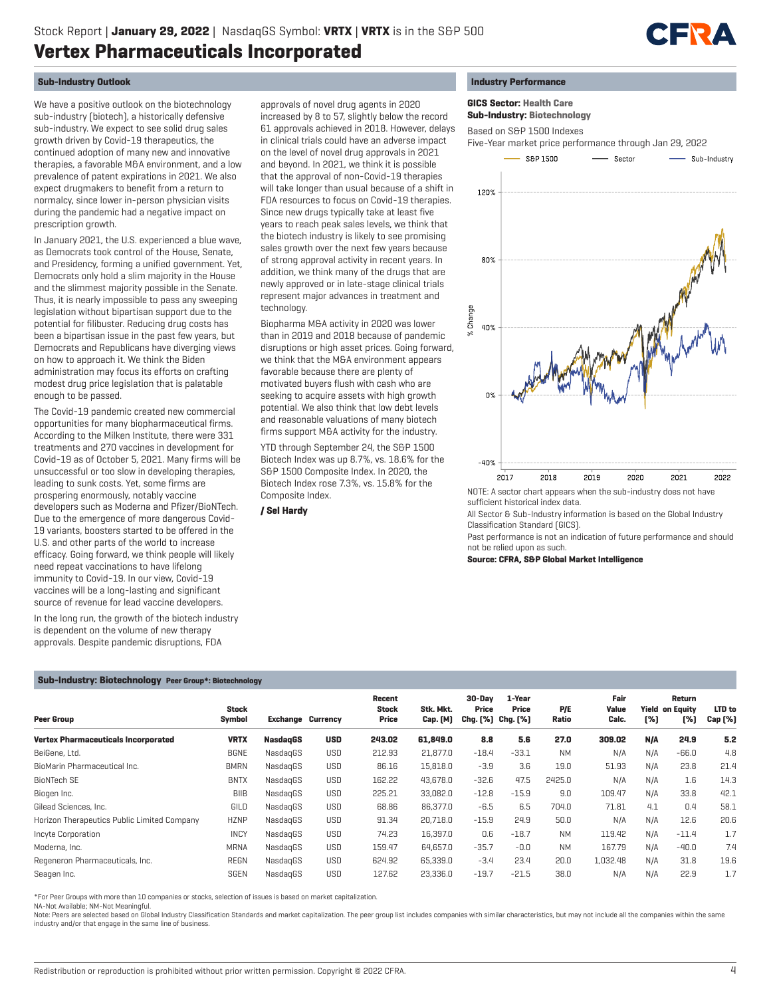

## **Sub-Industry Outlook**

We have a positive outlook on the biotechnology sub-industry (biotech), a historically defensive sub-industry. We expect to see solid drug sales growth driven by Covid-19 therapeutics, the continued adoption of many new and innovative therapies, a favorable M&A environment, and a low prevalence of patent expirations in 2021. We also expect drugmakers to benefit from a return to normalcy, since lower in-person physician visits during the pandemic had a negative impact on prescription growth.

In January 2021, the U.S. experienced a blue wave, as Democrats took control of the House, Senate, and Presidency, forming a unified government. Yet, Democrats only hold a slim majority in the House and the slimmest majority possible in the Senate. Thus, it is nearly impossible to pass any sweeping legislation without bipartisan support due to the potential for filibuster. Reducing drug costs has been a bipartisan issue in the past few years, but Democrats and Republicans have diverging views on how to approach it. We think the Biden administration may focus its efforts on crafting modest drug price legislation that is palatable enough to be passed.

The Covid-19 pandemic created new commercial opportunities for many biopharmaceutical firms. According to the Milken Institute, there were 331 treatments and 270 vaccines in development for Covid-19 as of October 5, 2021. Many firms will be unsuccessful or too slow in developing therapies, leading to sunk costs. Yet, some firms are prospering enormously, notably vaccine developers such as Moderna and Pfizer/BioNTech. Due to the emergence of more dangerous Covid-19 variants, boosters started to be offered in the U.S. and other parts of the world to increase efficacy. Going forward, we think people will likely need repeat vaccinations to have lifelong immunity to Covid-19. In our view, Covid-19 vaccines will be a long-lasting and significant source of revenue for lead vaccine developers.

In the long run, the growth of the biotech industry is dependent on the volume of new therapy approvals. Despite pandemic disruptions, FDA

approvals of novel drug agents in 2020 increased by 8 to 57, slightly below the record 61 approvals achieved in 2018. However, delays in clinical trials could have an adverse impact on the level of novel drug approvals in 2021 and beyond. In 2021, we think it is possible that the approval of non-Covid-19 therapies will take longer than usual because of a shift in FDA resources to focus on Covid-19 therapies. Since new drugs typically take at least five years to reach peak sales levels, we think that the biotech industry is likely to see promising sales growth over the next few years because of strong approval activity in recent years. In addition, we think many of the drugs that are newly approved or in late-stage clinical trials represent major advances in treatment and technology.

Biopharma M&A activity in 2020 was lower than in 2019 and 2018 because of pandemic disruptions or high asset prices. Going forward, we think that the M&A environment appears favorable because there are plenty of motivated buyers flush with cash who are seeking to acquire assets with high growth potential. We also think that low debt levels and reasonable valuations of many biotech firms support M&A activity for the industry.

YTD through September 24, the S&P 1500 Biotech Index was up 8.7%, vs. 18.6% for the S&P 1500 Composite Index. In 2020, the Biotech Index rose 7.3%, vs. 15.8% for the Composite Index.

 **/ Sel Hardy**

## **Industry Performance**

 **GICS Sector: Health Care**

 **Sub-Industry: Biotechnology**

Based on S&P 1500 Indexes



NOTE: A sector chart appears when the sub-industry does not have sufficient historical index data.

All Sector & Sub-Industry information is based on the Global Industry Classification Standard (GICS).

Past performance is not an indication of future performance and should not be relied upon as such.

**Source: CFRA, S&P Global Market Intelligence**

### **Sub-Industry: Biotechnology Peer Group\*: Biotechnology**

| <b>Peer Group</b>                           | <b>Stock</b><br>Symbol | <b>Exchange Currency</b> |            | Recent<br><b>Stock</b><br>Price | Stk. Mkt.<br><b>Cap.</b> [M] | 30-Dav<br>Price<br>Chg. [%] Chg. [%] | 1-Year<br>Price | P/E<br>Ratio | Fair<br>Value<br>Calc. | [%] | Return<br><b>Yield on Equity</b><br>[%] | LTD to<br>Cap [%] |
|---------------------------------------------|------------------------|--------------------------|------------|---------------------------------|------------------------------|--------------------------------------|-----------------|--------------|------------------------|-----|-----------------------------------------|-------------------|
| <b>Vertex Pharmaceuticals Incorporated</b>  | <b>VRTX</b>            | <b>NasdagGS</b>          | <b>USD</b> | 243.02                          | 61,849.0                     | 8.8                                  | 5.6             | 27.0         | 309.02                 | N/A | 24.9                                    | 5.2               |
| BeiGene, Ltd.                               | <b>BGNE</b>            | NasdagGS                 | <b>USD</b> | 212.93                          | 21,877.0                     | $-18.4$                              | $-33.1$         | <b>NM</b>    | N/A                    | N/A | $-66.0$                                 | 4.8               |
| BioMarin Pharmaceutical Inc.                | <b>BMRN</b>            | NasdagGS                 | <b>USD</b> | 86.16                           | 15,818.0                     | $-3.9$                               | 3.6             | 19.0         | 51.93                  | N/A | 23.8                                    | 21.4              |
| <b>BioNTech SE</b>                          | <b>BNTX</b>            | NasdagGS                 | <b>USD</b> | 162.22                          | 43,678.0                     | $-32.6$                              | 47.5            | 2425.0       | N/A                    | N/A | 1.6                                     | 14.3              |
| Biogen Inc.                                 | <b>BIIB</b>            | NasdagGS                 | <b>USD</b> | 225.21                          | 33,082.0                     | $-12.8$                              | $-15.9$         | 9.0          | 109.47                 | N/A | 33.8                                    | 42.1              |
| Gilead Sciences, Inc.                       | GILD                   | NasdagGS                 | <b>USD</b> | 68.86                           | 86,377.0                     | $-6.5$                               | 6.5             | 704.0        | 71.81                  | 4.1 | 0.4                                     | 58.1              |
| Horizon Therapeutics Public Limited Company | <b>HZNP</b>            | NasdagGS                 | <b>USD</b> | 91.34                           | 20,718.0                     | $-15.9$                              | 24.9            | 50.0         | N/A                    | N/A | 12.6                                    | 20.6              |
| Incyte Corporation                          | <b>INCY</b>            | NasdagGS                 | <b>USD</b> | 74.23                           | 16,397.0                     | 0.6                                  | $-18.7$         | <b>NM</b>    | 119.42                 | N/A | $-11.4$                                 | 1.7               |
| Moderna, Inc.                               | <b>MRNA</b>            | NasdagGS                 | <b>USD</b> | 159.47                          | 64.657.0                     | $-35.7$                              | $-0.0$          | <b>NM</b>    | 167.79                 | N/A | $-40.0$                                 | 7.4               |
| Regeneron Pharmaceuticals, Inc.             | <b>REGN</b>            | NasdagGS                 | <b>USD</b> | 624.92                          | 65,339.0                     | $-3.4$                               | 23.4            | 20.0         | 1,032.48               | N/A | 31.8                                    | 19.6              |
| Seagen Inc.                                 | <b>SGEN</b>            | NasdagGS                 | <b>USD</b> | 127.62                          | 23,336.0                     | $-19.7$                              | $-21.5$         | 38.0         | N/A                    | N/A | 22.9                                    | 1.7               |

\*For Peer Groups with more than 10 companies or stocks, selection of issues is based on market capitalization. NA-Not Available; NM-Not Meaningful.

Note: Peers are selected based on Global Industry Classification Standards and market capitalization. The peer group list includes companies with similar characteristics, but may not include all the companies within the sa industry and/or that engage in the same line of business.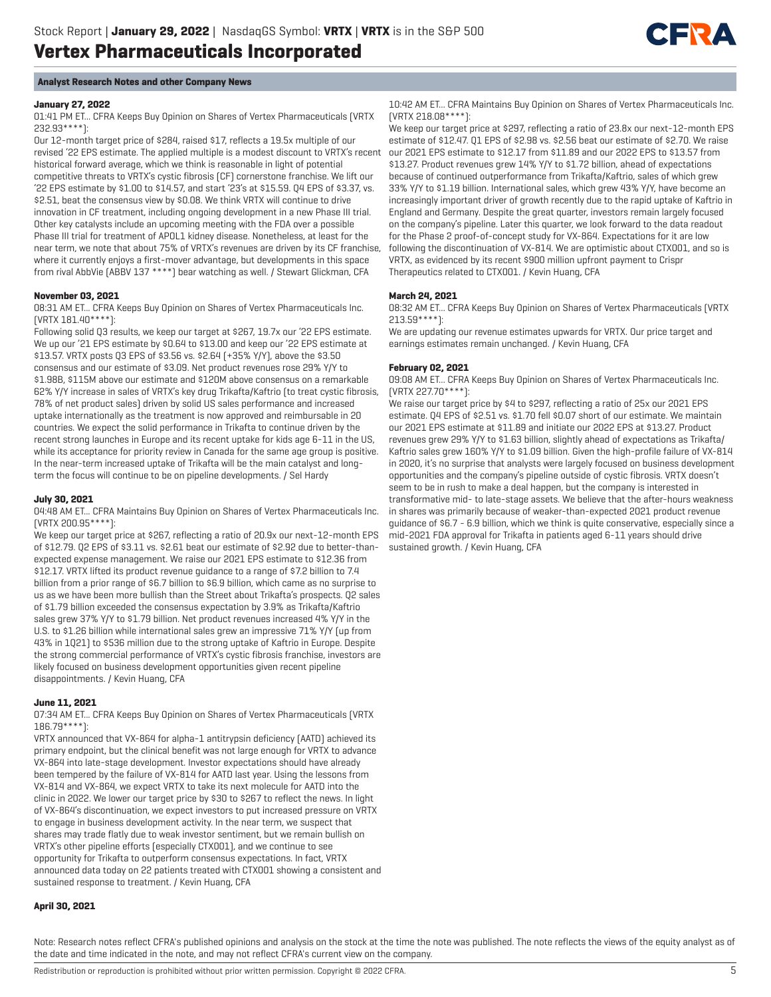

## **Analyst Research Notes and other Company News**

#### **January 27, 2022**

01:41 PM ET... CFRA Keeps Buy Opinion on Shares of Vertex Pharmaceuticals (VRTX 232.93\*\*\*\*):

Our 12-month target price of \$284, raised \$17, reflects a 19.5x multiple of our revised '22 EPS estimate. The applied multiple is a modest discount to VRTX's recent historical forward average, which we think is reasonable in light of potential competitive threats to VRTX's cystic fibrosis (CF) cornerstone franchise. We lift our '22 EPS estimate by \$1.00 to \$14.57, and start '23's at \$15.59. Q4 EPS of \$3.37, vs. \$2.51, beat the consensus view by \$0.08. We think VRTX will continue to drive innovation in CF treatment, including ongoing development in a new Phase III trial. Other key catalysts include an upcoming meeting with the FDA over a possible Phase III trial for treatment of APOL1 kidney disease. Nonetheless, at least for the near term, we note that about 75% of VRTX's revenues are driven by its CF franchise, where it currently enjoys a first-mover advantage, but developments in this space from rival AbbVie (ABBV 137 \*\*\*\*) bear watching as well. / Stewart Glickman, CFA

#### **November 03, 2021**

08:31 AM ET... CFRA Keeps Buy Opinion on Shares of Vertex Pharmaceuticals Inc. (VRTX 181.40\*\*\*\*):

Following solid Q3 results, we keep our target at \$267, 19.7x our '22 EPS estimate. We up our '21 EPS estimate by \$0.64 to \$13.00 and keep our '22 EPS estimate at \$13.57. VRTX posts Q3 EPS of \$3.56 vs. \$2.64 (+35% Y/Y), above the \$3.50 consensus and our estimate of \$3.09. Net product revenues rose 29% Y/Y to \$1.98B, \$115M above our estimate and \$120M above consensus on a remarkable 62% Y/Y increase in sales of VRTX's key drug Trikafta/Kaftrio (to treat cystic fibrosis, 78% of net product sales) driven by solid US sales performance and increased uptake internationally as the treatment is now approved and reimbursable in 20 countries. We expect the solid performance in Trikafta to continue driven by the recent strong launches in Europe and its recent uptake for kids age 6-11 in the US, while its acceptance for priority review in Canada for the same age group is positive. In the near-term increased uptake of Trikafta will be the main catalyst and longterm the focus will continue to be on pipeline developments. / Sel Hardy

#### **July 30, 2021**

04:48 AM ET... CFRA Maintains Buy Opinion on Shares of Vertex Pharmaceuticals Inc. (VRTX 200.95\*\*\*\*):

We keep our target price at \$267, reflecting a ratio of 20.9x our next-12-month EPS of \$12.79. Q2 EPS of \$3.11 vs. \$2.61 beat our estimate of \$2.92 due to better-thanexpected expense management. We raise our 2021 EPS estimate to \$12.36 from \$12.17. VRTX lifted its product revenue guidance to a range of \$7.2 billion to 7.4 billion from a prior range of \$6.7 billion to \$6.9 billion, which came as no surprise to us as we have been more bullish than the Street about Trikafta's prospects. Q2 sales of \$1.79 billion exceeded the consensus expectation by 3.9% as Trikafta/Kaftrio sales grew 37% Y/Y to \$1.79 billion. Net product revenues increased 4% Y/Y in the U.S. to \$1.26 billion while international sales grew an impressive 71% Y/Y (up from 43% in 1Q21) to \$536 million due to the strong uptake of Kaftrio in Europe. Despite the strong commercial performance of VRTX's cystic fibrosis franchise, investors are likely focused on business development opportunities given recent pipeline disappointments. / Kevin Huang, CFA

## **June 11, 2021**

07:34 AM ET... CFRA Keeps Buy Opinion on Shares of Vertex Pharmaceuticals (VRTX 186.79\*\*\*\*):

VRTX announced that VX-864 for alpha-1 antitrypsin deficiency (AATD) achieved its primary endpoint, but the clinical benefit was not large enough for VRTX to advance VX-864 into late-stage development. Investor expectations should have already been tempered by the failure of VX-814 for AATD last year. Using the lessons from VX-814 and VX-864, we expect VRTX to take its next molecule for AATD into the clinic in 2022. We lower our target price by \$30 to \$267 to reflect the news. In light of VX-864's discontinuation, we expect investors to put increased pressure on VRTX to engage in business development activity. In the near term, we suspect that shares may trade flatly due to weak investor sentiment, but we remain bullish on VRTX's other pipeline efforts (especially CTX001), and we continue to see opportunity for Trikafta to outperform consensus expectations. In fact, VRTX announced data today on 22 patients treated with CTX001 showing a consistent and sustained response to treatment. / Kevin Huang, CFA

#### 10:42 AM ET... CFRA Maintains Buy Opinion on Shares of Vertex Pharmaceuticals Inc. (VRTX 218.08\*\*\*\*):

We keep our target price at \$297, reflecting a ratio of 23.8x our next-12-month EPS estimate of \$12.47. Q1 EPS of \$2.98 vs. \$2.56 beat our estimate of \$2.70. We raise our 2021 EPS estimate to \$12.17 from \$11.89 and our 2022 EPS to \$13.57 from \$13.27. Product revenues grew 14% Y/Y to \$1.72 billion, ahead of expectations because of continued outperformance from Trikafta/Kaftrio, sales of which grew 33% Y/Y to \$1.19 billion. International sales, which grew 43% Y/Y, have become an increasingly important driver of growth recently due to the rapid uptake of Kaftrio in England and Germany. Despite the great quarter, investors remain largely focused on the company's pipeline. Later this quarter, we look forward to the data readout for the Phase 2 proof-of-concept study for VX-864. Expectations for it are low following the discontinuation of VX-814. We are optimistic about CTX001, and so is VRTX, as evidenced by its recent \$900 million upfront payment to Crispr Therapeutics related to CTX001. / Kevin Huang, CFA

#### **March 24, 2021**

08:32 AM ET... CFRA Keeps Buy Opinion on Shares of Vertex Pharmaceuticals (VRTX 213.59\*\*\*\*):

We are updating our revenue estimates upwards for VRTX. Our price target and earnings estimates remain unchanged. / Kevin Huang, CFA

#### **February 02, 2021**

09:08 AM ET... CFRA Keeps Buy Opinion on Shares of Vertex Pharmaceuticals Inc. (VRTX 227.70\*\*\*\*):

We raise our target price by \$4 to \$297, reflecting a ratio of 25x our 2021 EPS estimate. Q4 EPS of \$2.51 vs. \$1.70 fell \$0.07 short of our estimate. We maintain our 2021 EPS estimate at \$11.89 and initiate our 2022 EPS at \$13.27. Product revenues grew 29% Y/Y to \$1.63 billion, slightly ahead of expectations as Trikafta/ Kaftrio sales grew 160% Y/Y to \$1.09 billion. Given the high-profile failure of VX-814 in 2020, it's no surprise that analysts were largely focused on business development opportunities and the company's pipeline outside of cystic fibrosis. VRTX doesn't seem to be in rush to make a deal happen, but the company is interested in transformative mid- to late-stage assets. We believe that the after-hours weakness in shares was primarily because of weaker-than-expected 2021 product revenue guidance of \$6.7 - 6.9 billion, which we think is quite conservative, especially since a mid-2021 FDA approval for Trikafta in patients aged 6-11 years should drive sustained growth. / Kevin Huang, CFA

## **April 30, 2021**

Note: Research notes reflect CFRA's published opinions and analysis on the stock at the time the note was published. The note reflects the views of the equity analyst as of the date and time indicated in the note, and may not reflect CFRA's current view on the company.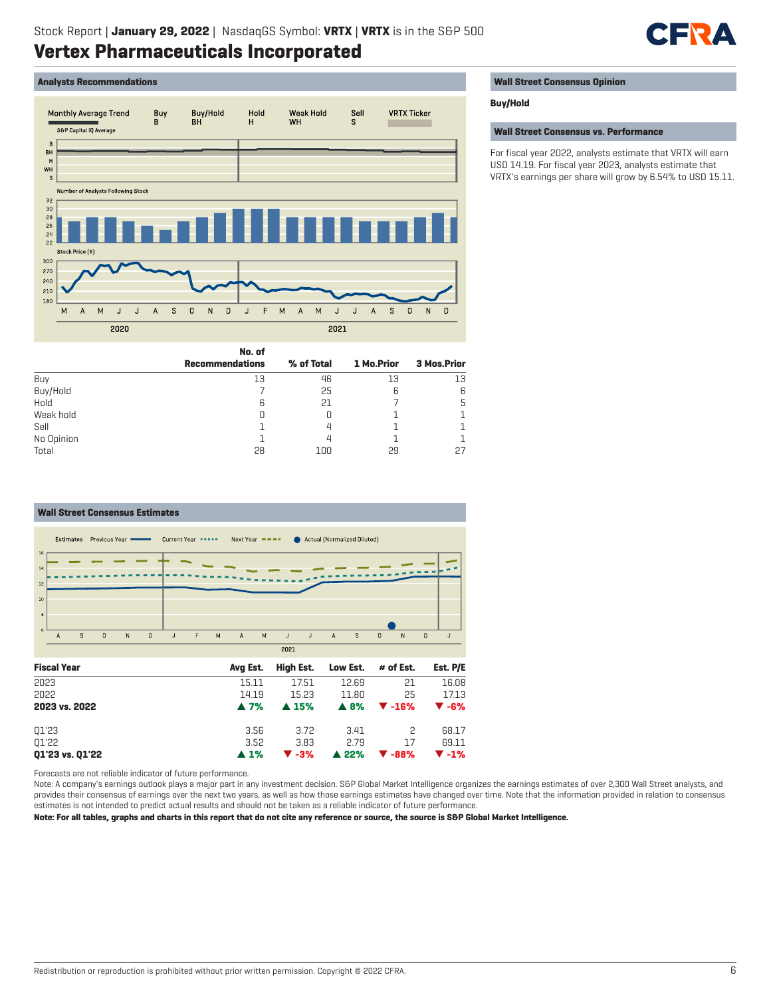

## **Analysts Recommendations**



|            | No. of                 |            |            |             |
|------------|------------------------|------------|------------|-------------|
|            | <b>Recommendations</b> | % of Total | 1 Mo.Prior | 3 Mos.Prior |
| Buy        | 13                     | 46         | 13         | 13          |
| Buy/Hold   |                        | 25         | 6          | 6           |
| Hold       | 6                      | 21         |            | 5           |
| Weak hold  |                        | 0          |            |             |
| Sell       |                        | Д          |            |             |
| No Opinion |                        | Д          |            |             |
| Total      | 28                     | 100        | 29         | 27          |

#### **Wall Street Consensus Estimates** Estimates Previous Year = Current Year \*\*\*\*\* Next Year \*\*\*\* Actual (Normalized Diluted)  $1<sup>2</sup>$  $12$  $\overline{10}$  $\overline{0}$  $\overline{N}$  $\overline{\mathbf{D}}$  $\overline{M}$  $\overline{A}$  $\overline{M}$  $\overline{1}$  $\overline{A}$  $\overline{s}$  $\overline{0}$  $\overline{N}$  $\overline{n}$  $\overline{A}$  $\overline{S}$  $\overline{1}$ F  $\mathsf J$  $\overline{1}$  $2021$ **Fiscal Year Avg Est. High Est. Low Est. # of Est. Est. P/E** 2023 15.11 17.51 12.69 21 16.08 2022 14.19 15.23 11.80 25 17.13

| 2023 vs. 2022   |      |      |      | $\triangle$ 7% $\triangle$ 15% $\triangle$ 8% $\triangledown$ -16% $\triangledown$ -6%                               |       |
|-----------------|------|------|------|----------------------------------------------------------------------------------------------------------------------|-------|
| 01'23           | 3.56 | 3.72 | 3.41 | $\sim$ $\sim$ $\sim$ $\sim$                                                                                          | 68.17 |
| 01'22           | 3.52 | 3.83 | 2.79 | -17                                                                                                                  | 69.11 |
| Q1'23 vs. Q1'22 |      |      |      | $\blacktriangle$ 1% $\blacktriangledown$ -3% $\blacktriangle$ 22% $\blacktriangledown$ -88% $\blacktriangledown$ -1% |       |

Forecasts are not reliable indicator of future performance.

Note: A company's earnings outlook plays a major part in any investment decision. S&P Global Market Intelligence organizes the earnings estimates of over 2,300 Wall Street analysts, and provides their consensus of earnings over the next two years, as well as how those earnings estimates have changed over time. Note that the information provided in relation to consensus estimates is not intended to predict actual results and should not be taken as a reliable indicator of future performance.

**Note: For all tables, graphs and charts in this report that do not cite any reference or source, the source is S&P Global Market Intelligence.**

### **Wall Street Consensus Opinion**

## **Buy/Hold**

**Wall Street Consensus vs. Performance**

For fiscal year 2022, analysts estimate that VRTX will earn USD 14.19. For fiscal year 2023, analysts estimate that VRTX's earnings per share will grow by 6.54% to USD 15.11.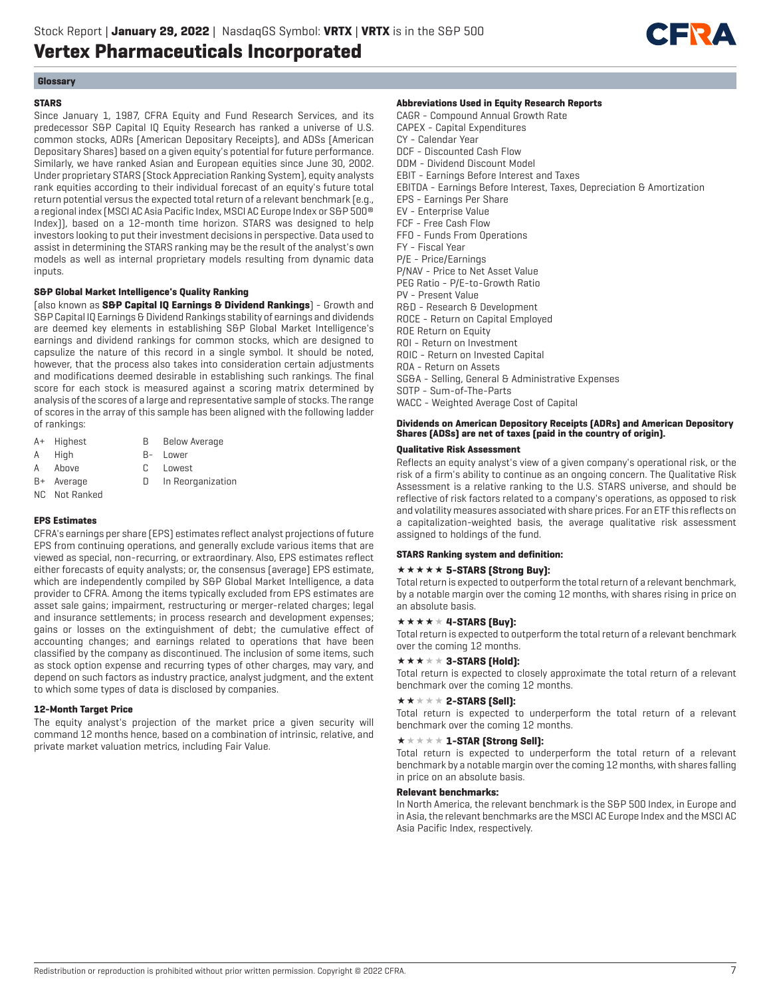

## **Glossary**

#### **STARS**

Since January 1, 1987, CFRA Equity and Fund Research Services, and its predecessor S&P Capital IQ Equity Research has ranked a universe of U.S. common stocks, ADRs (American Depositary Receipts), and ADSs (American Depositary Shares) based on a given equity's potential for future performance. Similarly, we have ranked Asian and European equities since June 30, 2002. Under proprietary STARS (Stock Appreciation Ranking System), equity analysts rank equities according to their individual forecast of an equity's future total return potential versus the expected total return of a relevant benchmark (e.g., a regional index (MSCI AC Asia Pacific Index, MSCI AC Europe Index or S&P 500® Index)), based on a 12-month time horizon. STARS was designed to help investors looking to put their investment decisions in perspective. Data used to assist in determining the STARS ranking may be the result of the analyst's own models as well as internal proprietary models resulting from dynamic data inputs.

### **S&P Global Market Intelligence's Quality Ranking**

(also known as **S&P Capital IQ Earnings & Dividend Rankings**) - Growth and S&P Capital IQ Earnings & Dividend Rankings stability of earnings and dividends are deemed key elements in establishing S&P Global Market Intelligence's earnings and dividend rankings for common stocks, which are designed to capsulize the nature of this record in a single symbol. It should be noted, however, that the process also takes into consideration certain adjustments and modifications deemed desirable in establishing such rankings. The final score for each stock is measured against a scoring matrix determined by analysis of the scores of a large and representative sample of stocks. The range of scores in the array of this sample has been aligned with the following ladder of rankings:

- A+ Highest B Below Average
- A High B- Lower
- A Above C Lowest
- 
- B+ Average D In Reorganization
- NC Not Ranked

### **EPS Estimates**

CFRA's earnings per share (EPS) estimates reflect analyst projections of future EPS from continuing operations, and generally exclude various items that are viewed as special, non-recurring, or extraordinary. Also, EPS estimates reflect either forecasts of equity analysts; or, the consensus (average) EPS estimate, which are independently compiled by S&P Global Market Intelligence, a data provider to CFRA. Among the items typically excluded from EPS estimates are asset sale gains; impairment, restructuring or merger-related charges; legal and insurance settlements; in process research and development expenses; gains or losses on the extinguishment of debt; the cumulative effect of accounting changes; and earnings related to operations that have been classified by the company as discontinued. The inclusion of some items, such as stock option expense and recurring types of other charges, may vary, and depend on such factors as industry practice, analyst judgment, and the extent to which some types of data is disclosed by companies.

#### **12-Month Target Price**

The equity analyst's projection of the market price a given security will command 12 months hence, based on a combination of intrinsic, relative, and private market valuation metrics, including Fair Value.

#### **Abbreviations Used in Equity Research Reports**

CAGR - Compound Annual Growth Rate CAPEX - Capital Expenditures CY - Calendar Year DCF - Discounted Cash Flow DDM - Dividend Discount Model EBIT - Earnings Before Interest and Taxes EBITDA - Earnings Before Interest, Taxes, Depreciation & Amortization EPS - Earnings Per Share EV - Enterprise Value FCF - Free Cash Flow FFO - Funds From Operations FY - Fiscal Year P/E - Price/Earnings P/NAV - Price to Net Asset Value PEG Ratio - P/E-to-Growth Ratio PV - Present Value R&D - Research & Development ROCE - Return on Capital Employed ROE Return on Equity ROI - Return on Investment ROIC - Return on Invested Capital ROA - Return on Assets SG&A - Selling, General & Administrative Expenses SOTP - Sum-of-The-Parts WACC - Weighted Average Cost of Capital

## **Dividends on American Depository Receipts (ADRs) and American Depository Shares (ADSs) are net of taxes (paid in the country of origin).**

### **Qualitative Risk Assessment**

Reflects an equity analyst's view of a given company's operational risk, or the risk of a firm's ability to continue as an ongoing concern. The Qualitative Risk Assessment is a relative ranking to the U.S. STARS universe, and should be reflective of risk factors related to a company's operations, as opposed to risk and volatility measures associated with share prices. For an ETF this reflects on a capitalization-weighted basis, the average qualitative risk assessment assigned to holdings of the fund.

#### **STARS Ranking system and definition:**

#### **\*\*\*\*\* 5-STARS (Strong Buy):**

Total return is expected to outperform the total return of a relevant benchmark, by a notable margin over the coming 12 months, with shares rising in price on an absolute basis.

## $\star \star \star \star \star 4$ -STARS [Buy]:

Total return is expected to outperform the total return of a relevant benchmark over the coming 12 months.

## $\star \star \star \star \star 3$ -STARS (Hold):

Total return is expected to closely approximate the total return of a relevant benchmark over the coming 12 months.

#### $\star\star\star\star\star$  2-STARS [Sell]:

Total return is expected to underperform the total return of a relevant benchmark over the coming 12 months.

#### $\star \star \star \star \star \mathbf{1}$ -STAR (Strong Sell):

Total return is expected to underperform the total return of a relevant benchmark by a notable margin over the coming 12 months, with shares falling in price on an absolute basis.

### **Relevant benchmarks:**

In North America, the relevant benchmark is the S&P 500 Index, in Europe and in Asia, the relevant benchmarks are the MSCI AC Europe Index and the MSCI AC Asia Pacific Index, respectively.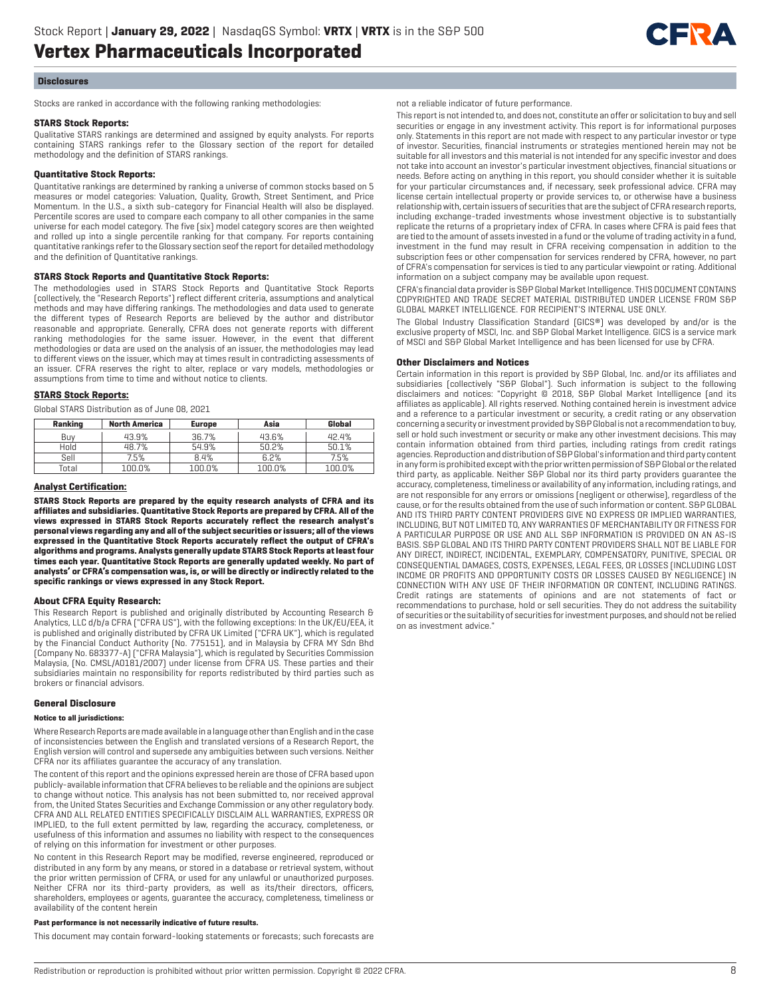

#### **Disclosures**

Stocks are ranked in accordance with the following ranking methodologies:

#### **STARS Stock Reports:**

Qualitative STARS rankings are determined and assigned by equity analysts. For reports containing STARS rankings refer to the Glossary section of the report for detailed methodology and the definition of STARS rankings.

#### **Quantitative Stock Reports:**

Quantitative rankings are determined by ranking a universe of common stocks based on 5 measures or model categories: Valuation, Quality, Growth, Street Sentiment, and Price Momentum. In the U.S., a sixth sub-category for Financial Health will also be displayed. Percentile scores are used to compare each company to all other companies in the same universe for each model category. The five (six) model category scores are then weighted and rolled up into a single percentile ranking for that company. For reports containing quantitative rankings refer to the Glossary section seof the report for detailed methodology and the definition of Quantitative rankings.

#### **STARS Stock Reports and Quantitative Stock Reports:**

The methodologies used in STARS Stock Reports and Quantitative Stock Reports (collectively, the "Research Reports") reflect different criteria, assumptions and analytical methods and may have differing rankings. The methodologies and data used to generate the different types of Research Reports are believed by the author and distributor reasonable and appropriate. Generally, CFRA does not generate reports with different ranking methodologies for the same issuer. However, in the event that different methodologies or data are used on the analysis of an issuer, the methodologies may lead to different views on the issuer, which may at times result in contradicting assessments of an issuer. CFRA reserves the right to alter, replace or vary models, methodologies or assumptions from time to time and without notice to clients.

#### **STARS Stock Reports:**

Global STARS Distribution as of June 08, 2021

| Ranking | <b>North America</b> | <b>Europe</b> | Asia   | Global |
|---------|----------------------|---------------|--------|--------|
| Buv     | 43.9%                | 36.7%         | 43.6%  | 42.4%  |
| Hold    | 48.7%                | 54.9%         | 50.2%  | 50.1%  |
| Sell    | 7.5%                 | 8.4%          | 6.2%   | 7.5%   |
| Total   | 100.0%               | 100.0%        | 100.0% | 100.0% |

#### **Analyst Certification:**

**STARS Stock Reports are prepared by the equity research analysts of CFRA and its affiliates and subsidiaries. Quantitative Stock Reports are prepared by CFRA. All of the views expressed in STARS Stock Reports accurately reflect the research analyst's personal views regarding any and all of the subject securities or issuers; all of the views expressed in the Quantitative Stock Reports accurately reflect the output of CFRA's algorithms and programs. Analysts generally update STARS Stock Reports at least four times each year. Quantitative Stock Reports are generally updated weekly. No part of analysts' or CFRA's compensation was, is, or will be directly or indirectly related to the specific rankings or views expressed in any Stock Report.**

#### **About CFRA Equity Research:**

This Research Report is published and originally distributed by Accounting Research & Analytics, LLC d/b/a CFRA ("CFRA US"), with the following exceptions: In the UK/EU/EEA, it is published and originally distributed by CFRA UK Limited ("CFRA UK"), which is regulated by the Financial Conduct Authority (No. 775151), and in Malaysia by CFRA MY Sdn Bhd (Company No. 683377-A) ("CFRA Malaysia"), which is regulated by Securities Commission Malaysia, (No. CMSL/A0181/2007) under license from CFRA US. These parties and their subsidiaries maintain no responsibility for reports redistributed by third parties such as brokers or financial advisors.

#### **General Disclosure**

#### **Notice to all jurisdictions:**

Where Research Reports are made available in a language other than English and in the case of inconsistencies between the English and translated versions of a Research Report, the English version will control and supersede any ambiguities between such versions. Neither CFRA nor its affiliates guarantee the accuracy of any translation.

The content of this report and the opinions expressed herein are those of CFRA based upon publicly-available information that CFRA believes to be reliable and the opinions are subject to change without notice. This analysis has not been submitted to, nor received approval from, the United States Securities and Exchange Commission or any other regulatory body. CFRA AND ALL RELATED ENTITIES SPECIFICALLY DISCLAIM ALL WARRANTIES, EXPRESS OR IMPLIED, to the full extent permitted by law, regarding the accuracy, completeness, or usefulness of this information and assumes no liability with respect to the consequences of relying on this information for investment or other purposes.

No content in this Research Report may be modified, reverse engineered, reproduced or distributed in any form by any means, or stored in a database or retrieval system, without the prior written permission of CFRA, or used for any unlawful or unauthorized purposes. Neither CFRA nor its third-party providers, as well as its/their directors, officers, shareholders, employees or agents, guarantee the accuracy, completeness, timeliness or availability of the content herein

#### **Past performance is not necessarily indicative of future results.**

This document may contain forward-looking statements or forecasts; such forecasts are

not a reliable indicator of future performance.

This report is not intended to, and does not, constitute an offer or solicitation to buy and sell securities or engage in any investment activity. This report is for informational purposes only. Statements in this report are not made with respect to any particular investor or type of investor. Securities, financial instruments or strategies mentioned herein may not be suitable for all investors and this material is not intended for any specific investor and does not take into account an investor's particular investment objectives, financial situations or needs. Before acting on anything in this report, you should consider whether it is suitable for your particular circumstances and, if necessary, seek professional advice. CFRA may license certain intellectual property or provide services to, or otherwise have a business relationship with, certain issuers of securities that are the subject of CFRA research reports, including exchange-traded investments whose investment objective is to substantially replicate the returns of a proprietary index of CFRA. In cases where CFRA is paid fees that are tied to the amount of assets invested in a fund or the volume of trading activity in a fund, investment in the fund may result in CFRA receiving compensation in addition to the subscription fees or other compensation for services rendered by CFRA, however, no part of CFRA's compensation for services is tied to any particular viewpoint or rating. Additional information on a subject company may be available upon request.

CFRA's financial data provider is S&P Global Market Intelligence. THIS DOCUMENT CONTAINS COPYRIGHTED AND TRADE SECRET MATERIAL DISTRIBUTED UNDER LICENSE FROM S&P GLOBAL MARKET INTELLIGENCE. FOR RECIPIENT'S INTERNAL USE ONLY.

The Global Industry Classification Standard (GICS®) was developed by and/or is the exclusive property of MSCI, Inc. and S&P Global Market Intelligence. GICS is a service mark of MSCI and S&P Global Market Intelligence and has been licensed for use by CFRA.

#### **Other Disclaimers and Notices**

Certain information in this report is provided by S&P Global, Inc. and/or its affiliates and subsidiaries (collectively "S&P Global"). Such information is subject to the following disclaimers and notices: "Copyright © 2018, S&P Global Market Intelligence (and its affiliates as applicable). All rights reserved. Nothing contained herein is investment advice and a reference to a particular investment or security, a credit rating or any observation concerning a security or investment provided by S&P Global is not a recommendation to buy, sell or hold such investment or security or make any other investment decisions. This may contain information obtained from third parties, including ratings from credit ratings agencies. Reproduction and distribution of S&P Global's information and third party content in any form is prohibited except with the prior written permission of S&P Global or the related third party, as applicable. Neither S&P Global nor its third party providers guarantee the accuracy, completeness, timeliness or availability of any information, including ratings, and are not responsible for any errors or omissions (negligent or otherwise), regardless of the cause, or for the results obtained from the use of such information or content. S&P GLOBAL AND ITS THIRD PARTY CONTENT PROVIDERS GIVE NO EXPRESS OR IMPLIED WARRANTIES, INCLUDING, BUT NOT LIMITED TO, ANY WARRANTIES OF MERCHANTABILITY OR FITNESS FOR A PARTICULAR PURPOSE OR USE AND ALL S&P INFORMATION IS PROVIDED ON AN AS-IS BASIS. S&P GLOBAL AND ITS THIRD PARTY CONTENT PROVIDERS SHALL NOT BE LIABLE FOR ANY DIRECT, INDIRECT, INCIDENTAL, EXEMPLARY, COMPENSATORY, PUNITIVE, SPECIAL OR CONSEQUENTIAL DAMAGES, COSTS, EXPENSES, LEGAL FEES, OR LOSSES (INCLUDING LOST INCOME OR PROFITS AND OPPORTUNITY COSTS OR LOSSES CAUSED BY NEGLIGENCE) IN CONNECTION WITH ANY USE OF THEIR INFORMATION OR CONTENT, INCLUDING RATINGS. Credit ratings are statements of opinions and are not statements of fact or recommendations to purchase, hold or sell securities. They do not address the suitability of securities or the suitability of securities for investment purposes, and should not be relied on as investment advice."